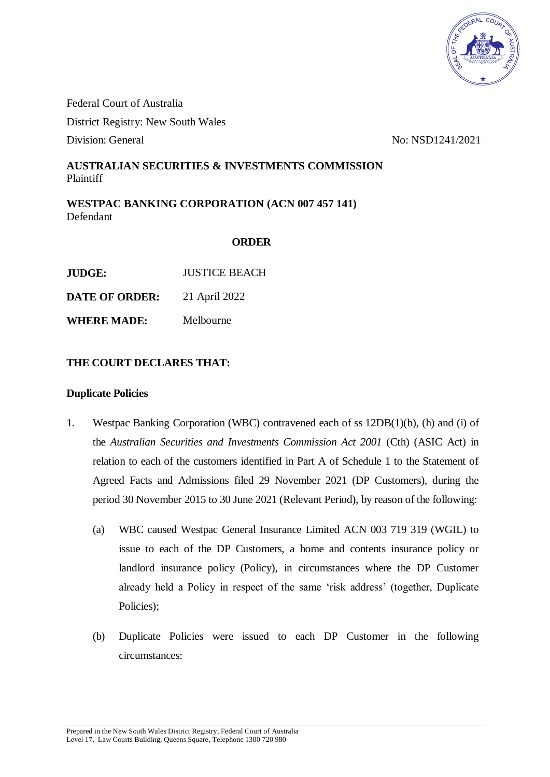

Federal Court of Australia District Registry: New South Wales Division: General No: NSD1241/2021

## **AUSTRALIAN SECURITIES & INVESTMENTS COMMISSION** Plaintiff

**WESTPAC BANKING CORPORATION (ACN 007 457 141)** Defendant

## **ORDER**

| <b>JUDGE:</b> | <b>JUSTICE BEACH</b> |
|---------------|----------------------|
|               |                      |

**DATE OF ORDER:** 21 April 2022

**WHERE MADE:** Melbourne

## **THE COURT DECLARES THAT:**

#### **Duplicate Policies**

- 1. Westpac Banking Corporation (WBC) contravened each of ss 12DB(1)(b), (h) and (i) of the *Australian Securities and Investments Commission Act 2001* (Cth) (ASIC Act) in relation to each of the customers identified in Part A of Schedule 1 to the Statement of Agreed Facts and Admissions filed 29 November 2021 (DP Customers), during the period 30 November 2015 to 30 June 2021 (Relevant Period), by reason of the following:
	- (a) WBC caused Westpac General Insurance Limited ACN 003 719 319 (WGIL) to issue to each of the DP Customers, a home and contents insurance policy or landlord insurance policy (Policy), in circumstances where the DP Customer already held a Policy in respect of the same 'risk address' (together, Duplicate Policies);
	- (b) Duplicate Policies were issued to each DP Customer in the following circumstances: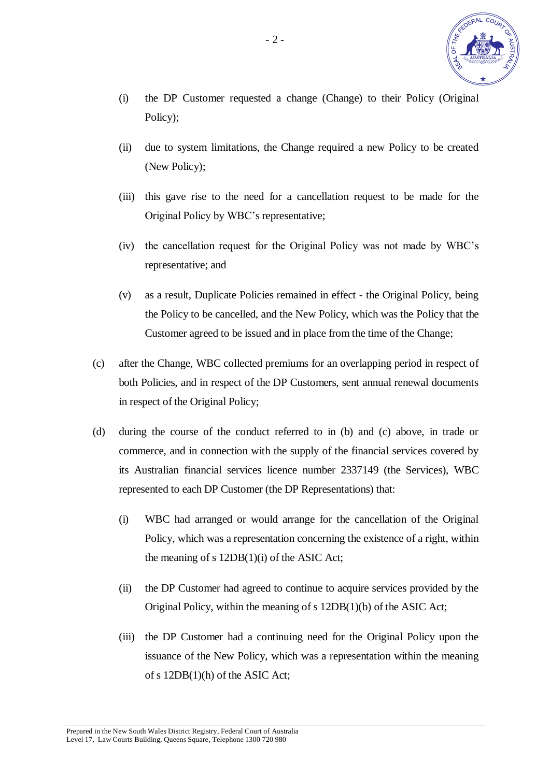

- (i) the DP Customer requested a change (Change) to their Policy (Original Policy);
- (ii) due to system limitations, the Change required a new Policy to be created (New Policy);
- (iii) this gave rise to the need for a cancellation request to be made for the Original Policy by WBC's representative;
- (iv) the cancellation request for the Original Policy was not made by WBC's representative; and
- (v) as a result, Duplicate Policies remained in effect the Original Policy, being the Policy to be cancelled, and the New Policy, which was the Policy that the Customer agreed to be issued and in place from the time of the Change;
- (c) after the Change, WBC collected premiums for an overlapping period in respect of both Policies, and in respect of the DP Customers, sent annual renewal documents in respect of the Original Policy;
- (d) during the course of the conduct referred to in (b) and (c) above, in trade or commerce, and in connection with the supply of the financial services covered by its Australian financial services licence number 2337149 (the Services), WBC represented to each DP Customer (the DP Representations) that:
	- (i) WBC had arranged or would arrange for the cancellation of the Original Policy, which was a representation concerning the existence of a right, within the meaning of s 12DB(1)(i) of the ASIC Act;
	- (ii) the DP Customer had agreed to continue to acquire services provided by the Original Policy, within the meaning of s 12DB(1)(b) of the ASIC Act;
	- (iii) the DP Customer had a continuing need for the Original Policy upon the issuance of the New Policy, which was a representation within the meaning of s 12DB(1)(h) of the ASIC Act;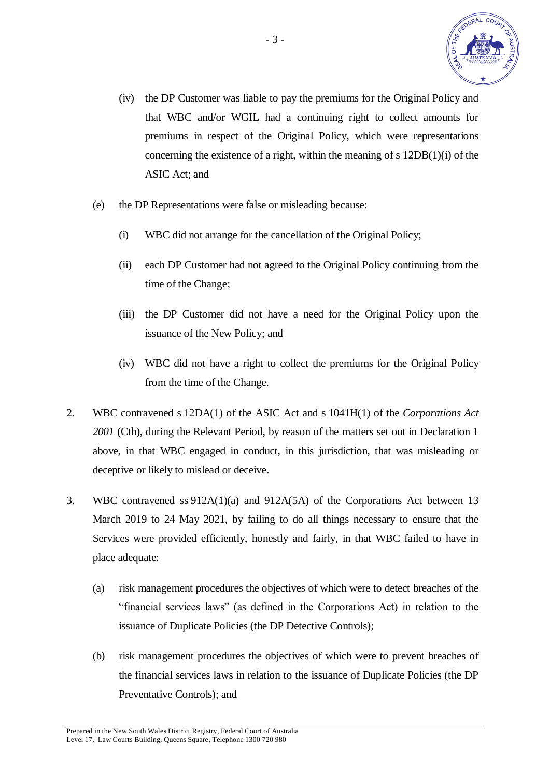

- (iv) the DP Customer was liable to pay the premiums for the Original Policy and that WBC and/or WGIL had a continuing right to collect amounts for premiums in respect of the Original Policy, which were representations concerning the existence of a right, within the meaning of s 12DB(1)(i) of the ASIC Act; and
- (e) the DP Representations were false or misleading because:
	- (i) WBC did not arrange for the cancellation of the Original Policy;
	- (ii) each DP Customer had not agreed to the Original Policy continuing from the time of the Change;
	- (iii) the DP Customer did not have a need for the Original Policy upon the issuance of the New Policy; and
	- (iv) WBC did not have a right to collect the premiums for the Original Policy from the time of the Change.
- 2. WBC contravened s 12DA(1) of the ASIC Act and s 1041H(1) of the *Corporations Act*  2001 (Cth), during the Relevant Period, by reason of the matters set out in Declaration 1 above, in that WBC engaged in conduct, in this jurisdiction, that was misleading or deceptive or likely to mislead or deceive.
- 3. WBC contravened ss 912A(1)(a) and 912A(5A) of the Corporations Act between 13 March 2019 to 24 May 2021, by failing to do all things necessary to ensure that the Services were provided efficiently, honestly and fairly, in that WBC failed to have in place adequate:
	- (a) risk management procedures the objectives of which were to detect breaches of the "financial services laws" (as defined in the Corporations Act) in relation to the issuance of Duplicate Policies (the DP Detective Controls);
	- (b) risk management procedures the objectives of which were to prevent breaches of the financial services laws in relation to the issuance of Duplicate Policies (the DP Preventative Controls); and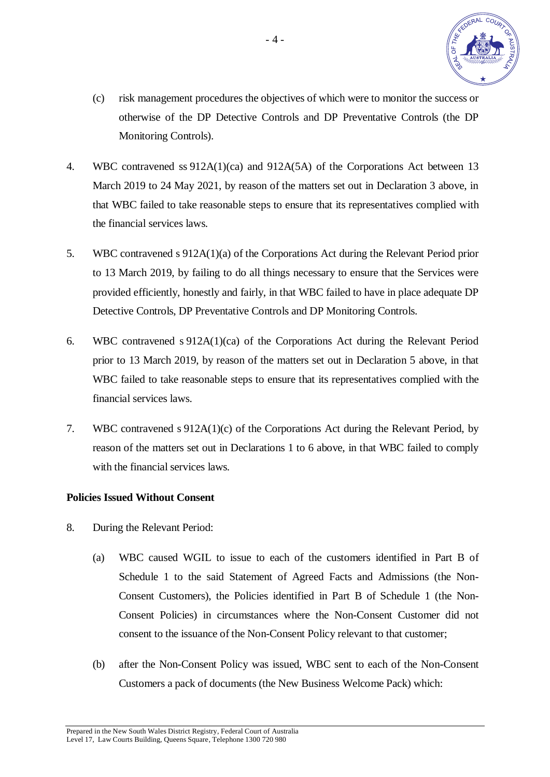

- (c) risk management procedures the objectives of which were to monitor the success or otherwise of the DP Detective Controls and DP Preventative Controls (the DP Monitoring Controls).
- 4. WBC contravened ss 912A(1)(ca) and 912A(5A) of the Corporations Act between 13 March 2019 to 24 May 2021, by reason of the matters set out in Declaration 3 above, in that WBC failed to take reasonable steps to ensure that its representatives complied with the financial services laws.
- 5. WBC contravened s 912A(1)(a) of the Corporations Act during the Relevant Period prior to 13 March 2019, by failing to do all things necessary to ensure that the Services were provided efficiently, honestly and fairly, in that WBC failed to have in place adequate DP Detective Controls, DP Preventative Controls and DP Monitoring Controls.
- 6. WBC contravened s 912A(1)(ca) of the Corporations Act during the Relevant Period prior to 13 March 2019, by reason of the matters set out in Declaration 5 above, in that WBC failed to take reasonable steps to ensure that its representatives complied with the financial services laws.
- 7. WBC contravened s 912A(1)(c) of the Corporations Act during the Relevant Period, by reason of the matters set out in Declarations 1 to 6 above, in that WBC failed to comply with the financial services laws.

## **Policies Issued Without Consent**

- 8. During the Relevant Period:
	- (a) WBC caused WGIL to issue to each of the customers identified in Part B of Schedule 1 to the said Statement of Agreed Facts and Admissions (the Non-Consent Customers), the Policies identified in Part B of Schedule 1 (the Non-Consent Policies) in circumstances where the Non-Consent Customer did not consent to the issuance of the Non-Consent Policy relevant to that customer;
	- (b) after the Non-Consent Policy was issued, WBC sent to each of the Non-Consent Customers a pack of documents (the New Business Welcome Pack) which: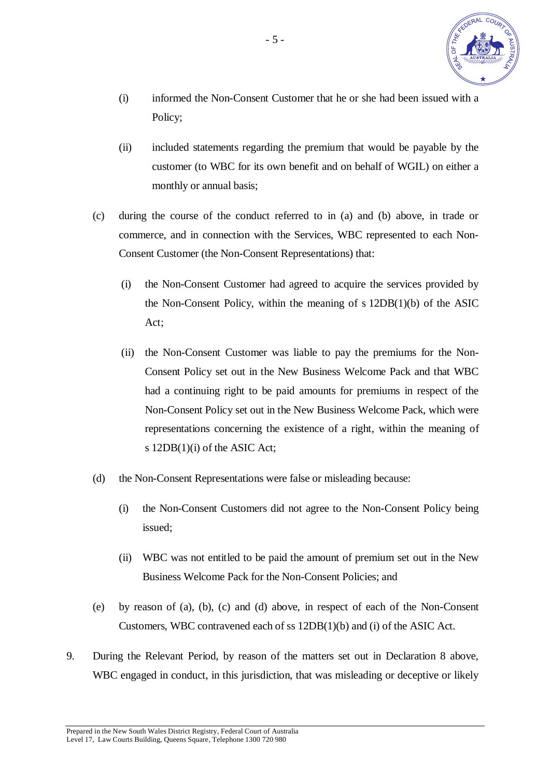

- (i) informed the Non-Consent Customer that he or she had been issued with a Policy;
- (ii) included statements regarding the premium that would be payable by the customer (to WBC for its own benefit and on behalf of WGIL) on either a monthly or annual basis;
- (c) during the course of the conduct referred to in (a) and (b) above, in trade or commerce, and in connection with the Services, WBC represented to each Non-Consent Customer (the Non-Consent Representations) that:
	- (i) the Non-Consent Customer had agreed to acquire the services provided by the Non-Consent Policy, within the meaning of s 12DB(1)(b) of the ASIC Act;
	- (ii) the Non-Consent Customer was liable to pay the premiums for the Non-Consent Policy set out in the New Business Welcome Pack and that WBC had a continuing right to be paid amounts for premiums in respect of the Non-Consent Policy set out in the New Business Welcome Pack, which were representations concerning the existence of a right, within the meaning of s 12DB(1)(i) of the ASIC Act;
- (d) the Non-Consent Representations were false or misleading because:
	- (i) the Non-Consent Customers did not agree to the Non-Consent Policy being issued;
	- (ii) WBC was not entitled to be paid the amount of premium set out in the New Business Welcome Pack for the Non-Consent Policies; and
- (e) by reason of (a), (b), (c) and (d) above, in respect of each of the Non-Consent Customers, WBC contravened each of ss 12DB(1)(b) and (i) of the ASIC Act.
- 9. During the Relevant Period, by reason of the matters set out in Declaration 8 above, WBC engaged in conduct, in this jurisdiction, that was misleading or deceptive or likely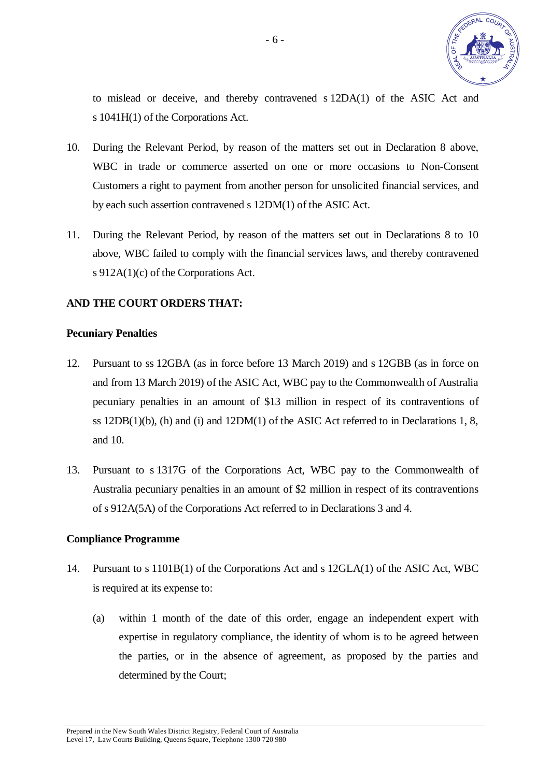

to mislead or deceive, and thereby contravened s 12DA(1) of the ASIC Act and s 1041H(1) of the Corporations Act.

- 10. During the Relevant Period, by reason of the matters set out in Declaration 8 above, WBC in trade or commerce asserted on one or more occasions to Non-Consent Customers a right to payment from another person for unsolicited financial services, and by each such assertion contravened s 12DM(1) of the ASIC Act.
- 11. During the Relevant Period, by reason of the matters set out in Declarations 8 to 10 above, WBC failed to comply with the financial services laws, and thereby contravened s 912A(1)(c) of the Corporations Act.

#### **AND THE COURT ORDERS THAT:**

#### **Pecuniary Penalties**

- 12. Pursuant to ss 12GBA (as in force before 13 March 2019) and s 12GBB (as in force on and from 13 March 2019) of the ASIC Act, WBC pay to the Commonwealth of Australia pecuniary penalties in an amount of \$13 million in respect of its contraventions of ss  $12DB(1)(b)$ , (h) and (i) and  $12DM(1)$  of the ASIC Act referred to in Declarations 1, 8, and 10.
- 13. Pursuant to s 1317G of the Corporations Act, WBC pay to the Commonwealth of Australia pecuniary penalties in an amount of \$2 million in respect of its contraventions of s 912A(5A) of the Corporations Act referred to in Declarations 3 and 4.

#### **Compliance Programme**

- 14. Pursuant to s 1101B(1) of the Corporations Act and s 12GLA(1) of the ASIC Act, WBC is required at its expense to:
	- (a) within 1 month of the date of this order, engage an independent expert with expertise in regulatory compliance, the identity of whom is to be agreed between the parties, or in the absence of agreement, as proposed by the parties and determined by the Court;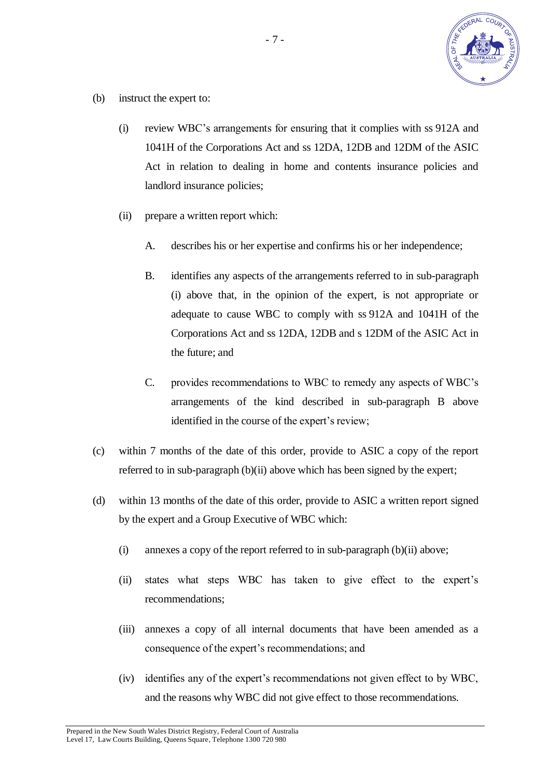

- (b) instruct the expert to:
	- (i) review WBC's arrangements for ensuring that it complies with ss 912A and 1041H of the Corporations Act and ss 12DA, 12DB and 12DM of the ASIC Act in relation to dealing in home and contents insurance policies and landlord insurance policies;
	- (ii) prepare a written report which:
		- A. describes his or her expertise and confirms his or her independence;
		- B. identifies any aspects of the arrangements referred to in sub-paragraph (i) above that, in the opinion of the expert, is not appropriate or adequate to cause WBC to comply with ss 912A and 1041H of the Corporations Act and ss 12DA, 12DB and s 12DM of the ASIC Act in the future; and
		- C. provides recommendations to WBC to remedy any aspects of WBC's arrangements of the kind described in sub-paragraph B above identified in the course of the expert's review;
- (c) within 7 months of the date of this order, provide to ASIC a copy of the report referred to in sub-paragraph (b)(ii) above which has been signed by the expert;
- (d) within 13 months of the date of this order, provide to ASIC a written report signed by the expert and a Group Executive of WBC which:
	- (i) annexes a copy of the report referred to in sub-paragraph (b)(ii) above;
	- (ii) states what steps WBC has taken to give effect to the expert's recommendations;
	- (iii) annexes a copy of all internal documents that have been amended as a consequence of the expert's recommendations; and
	- (iv) identifies any of the expert's recommendations not given effect to by WBC, and the reasons why WBC did not give effect to those recommendations.